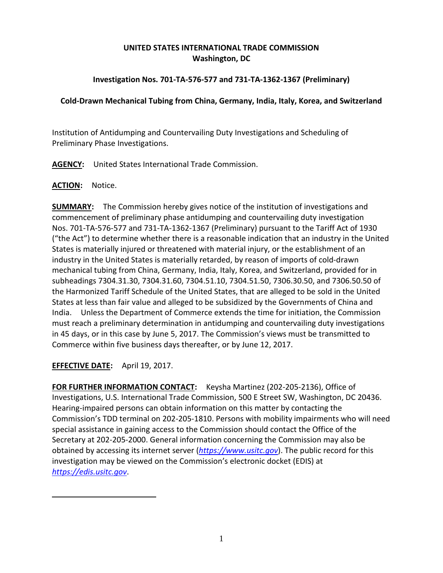# **UNITED STATES INTERNATIONAL TRADE COMMISSION Washington, DC**

## **Investigation Nos. 701-TA-576-577 and 731-TA-1362-1367 (Preliminary)**

### **Cold-Drawn Mechanical Tubing from China, Germany, India, Italy, Korea, and Switzerland**

Institution of Antidumping and Countervailing Duty Investigations and Scheduling of Preliminary Phase Investigations.

**AGENCY:** United States International Trade Commission.

#### **ACTION:** Notice.

**SUMMARY:** The Commission hereby gives notice of the institution of investigations and commencement of preliminary phase antidumping and countervailing duty investigation Nos. 701-TA-576-577 and 731-TA-1362-1367 (Preliminary) pursuant to the Tariff Act of 1930 ("the Act") to determine whether there is a reasonable indication that an industry in the United States is materially injured or threatened with material injury, or the establishment of an industry in the United States is materially retarded, by reason of imports of cold-drawn mechanical tubing from China, Germany, India, Italy, Korea, and Switzerland, provided for in subheadings 7304.31.30, 7304.31.60, 7304.51.10, 7304.51.50, 7306.30.50, and 7306.50.50 of the Harmonized Tariff Schedule of the United States, that are alleged to be sold in the United States at less than fair value and alleged to be subsidized by the Governments of China and India. Unless the Department of Commerce extends the time for initiation, the Commission must reach a preliminary determination in antidumping and countervailing duty investigations in 45 days, or in this case by June 5, 2017. The Commission's views must be transmitted to Commerce within five business days thereafter, or by June 12, 2017.

## **EFFECTIVE DATE:** April 19, 2017.

**FOR FURTHER INFORMATION CONTACT:** Keysha Martinez (202-205-2136), Office of Investigations, U.S. International Trade Commission, 500 E Street SW, Washington, DC 20436. Hearing-impaired persons can obtain information on this matter by contacting the Commission's TDD terminal on 202-205-1810. Persons with mobility impairments who will need special assistance in gaining access to the Commission should contact the Office of the Secretary at 202-205-2000. General information concerning the Commission may also be obtained by accessing its internet server (*[https://www.usitc.gov](https://www.usitc.gov/)*). The public record for this investigation may be viewed on the Commission's electronic docket (EDIS) at *[https://edis.usitc.gov](https://edis.usitc.gov/)*.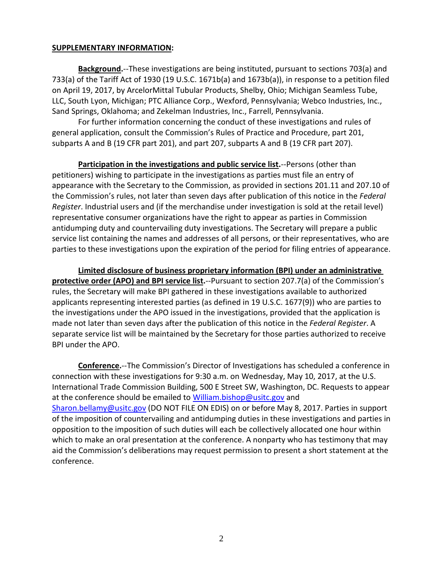#### **SUPPLEMENTARY INFORMATION:**

**Background.**--These investigations are being instituted, pursuant to sections 703(a) and 733(a) of the Tariff Act of 1930 (19 U.S.C. 1671b(a) and 1673b(a)), in response to a petition filed on April 19, 2017, by ArcelorMittal Tubular Products, Shelby, Ohio; Michigan Seamless Tube, LLC, South Lyon, Michigan; PTC Alliance Corp., Wexford, Pennsylvania; Webco Industries, Inc., Sand Springs, Oklahoma; and Zekelman Industries, Inc., Farrell, Pennsylvania.

For further information concerning the conduct of these investigations and rules of general application, consult the Commission's Rules of Practice and Procedure, part 201, subparts A and B (19 CFR part 201), and part 207, subparts A and B (19 CFR part 207).

**Participation in the investigations and public service list.**--Persons (other than petitioners) wishing to participate in the investigations as parties must file an entry of appearance with the Secretary to the Commission, as provided in sections 201.11 and 207.10 of the Commission's rules, not later than seven days after publication of this notice in the *Federal Register*. Industrial users and (if the merchandise under investigation is sold at the retail level) representative consumer organizations have the right to appear as parties in Commission antidumping duty and countervailing duty investigations. The Secretary will prepare a public service list containing the names and addresses of all persons, or their representatives, who are parties to these investigations upon the expiration of the period for filing entries of appearance.

**Limited disclosure of business proprietary information (BPI) under an administrative protective order (APO) and BPI service list.**--Pursuant to section 207.7(a) of the Commission's rules, the Secretary will make BPI gathered in these investigations available to authorized applicants representing interested parties (as defined in 19 U.S.C. 1677(9)) who are parties to the investigations under the APO issued in the investigations, provided that the application is made not later than seven days after the publication of this notice in the *Federal Register*. A separate service list will be maintained by the Secretary for those parties authorized to receive BPI under the APO.

**Conference.**--The Commission's Director of Investigations has scheduled a conference in connection with these investigations for 9:30 a.m. on Wednesday, May 10, 2017, at the U.S. International Trade Commission Building, 500 E Street SW, Washington, DC. Requests to appear at the conference should be emailed to [William.bishop@usitc.gov](mailto:William.bishop@usitc.gov) and [Sharon.bellamy@usitc.gov](mailto:Sharon.bellamy@usitc.gov)) (DO NOT FILE ON EDIS) on or before May 8, 2017. Parties in support of the imposition of countervailing and antidumping duties in these investigations and parties in opposition to the imposition of such duties will each be collectively allocated one hour within which to make an oral presentation at the conference. A nonparty who has testimony that may aid the Commission's deliberations may request permission to present a short statement at the conference.